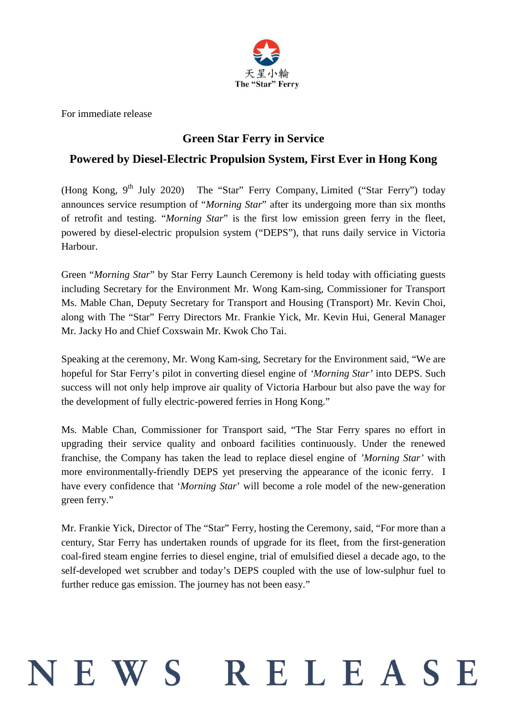

For immediate release

## **Green Star Ferry in Service**

## **Powered by Diesel-Electric Propulsion System, First Ever in Hong Kong**

(Hong Kong,  $9<sup>th</sup>$  July 2020) The "Star" Ferry Company, Limited ("Star Ferry") today announces service resumption of "*Morning Star*" after its undergoing more than six months of retrofit and testing. "*Morning Star*" is the first low emission green ferry in the fleet, powered by diesel-electric propulsion system ("DEPS"), that runs daily service in Victoria Harbour.

Green "*Morning Star*" by Star Ferry Launch Ceremony is held today with officiating guests including Secretary for the Environment Mr. Wong Kam-sing, Commissioner for Transport Ms. Mable Chan, Deputy Secretary for Transport and Housing (Transport) Mr. Kevin Choi, along with The "Star" Ferry Directors Mr. Frankie Yick, Mr. Kevin Hui, General Manager Mr. Jacky Ho and Chief Coxswain Mr. Kwok Cho Tai.

Speaking at the ceremony, Mr. Wong Kam-sing, Secretary for the Environment said, "We are hopeful for Star Ferry's pilot in converting diesel engine of *'Morning Star'* into DEPS. Such success will not only help improve air quality of Victoria Harbour but also pave the way for the development of fully electric-powered ferries in Hong Kong."

Ms. Mable Chan, Commissioner for Transport said, "The Star Ferry spares no effort in upgrading their service quality and onboard facilities continuously. Under the renewed franchise, the Company has taken the lead to replace diesel engine of *'Morning Star'* with more environmentally-friendly DEPS yet preserving the appearance of the iconic ferry. I have every confidence that '*Morning Star*' will become a role model of the new-generation green ferry."

Mr. Frankie Yick, Director of The "Star" Ferry, hosting the Ceremony, said, "For more than a century, Star Ferry has undertaken rounds of upgrade for its fleet, from the first-generation coal-fired steam engine ferries to diesel engine, trial of emulsified diesel a decade ago, to the self-developed wet scrubber and today's DEPS coupled with the use of low-sulphur fuel to further reduce gas emission. The journey has not been easy."

# RELEASE JEWS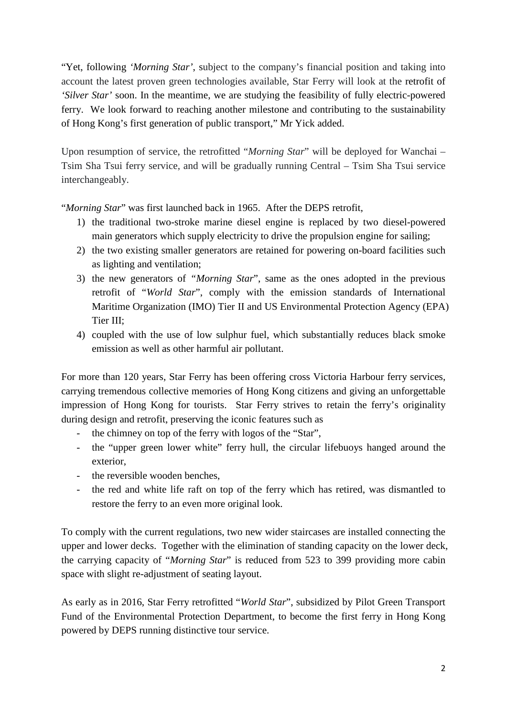"Yet, following *'Morning Star'*, subject to the company's financial position and taking into account the latest proven green technologies available, Star Ferry will look at the retrofit of *'Silver Star'* soon. In the meantime, we are studying the feasibility of fully electric-powered ferry. We look forward to reaching another milestone and contributing to the sustainability of Hong Kong's first generation of public transport," Mr Yick added.

Upon resumption of service, the retrofitted "*Morning Star*" will be deployed for Wanchai – Tsim Sha Tsui ferry service, and will be gradually running Central – Tsim Sha Tsui service interchangeably.

"*Morning Star*" was first launched back in 1965. After the DEPS retrofit,

- 1) the traditional two-stroke marine diesel engine is replaced by two diesel-powered main generators which supply electricity to drive the propulsion engine for sailing;
- 2) the two existing smaller generators are retained for powering on-board facilities such as lighting and ventilation;
- 3) the new generators of *"Morning Star*", same as the ones adopted in the previous retrofit of "*World Star*", comply with the emission standards of International Maritime Organization (IMO) Tier II and US Environmental Protection Agency (EPA) Tier III;
- 4) coupled with the use of low sulphur fuel, which substantially reduces black smoke emission as well as other harmful air pollutant.

For more than 120 years, Star Ferry has been offering cross Victoria Harbour ferry services, carrying tremendous collective memories of Hong Kong citizens and giving an unforgettable impression of Hong Kong for tourists. Star Ferry strives to retain the ferry's originality during design and retrofit, preserving the iconic features such as

- the chimney on top of the ferry with logos of the "Star",
- the "upper green lower white" ferry hull, the circular lifebuoys hanged around the exterior,
- the reversible wooden benches,
- the red and white life raft on top of the ferry which has retired, was dismantled to restore the ferry to an even more original look.

To comply with the current regulations, two new wider staircases are installed connecting the upper and lower decks. Together with the elimination of standing capacity on the lower deck, the carrying capacity of "*Morning Star*" is reduced from 523 to 399 providing more cabin space with slight re-adjustment of seating layout.

As early as in 2016, Star Ferry retrofitted "*World Star*", subsidized by Pilot Green Transport Fund of the Environmental Protection Department, to become the first ferry in Hong Kong powered by DEPS running distinctive tour service.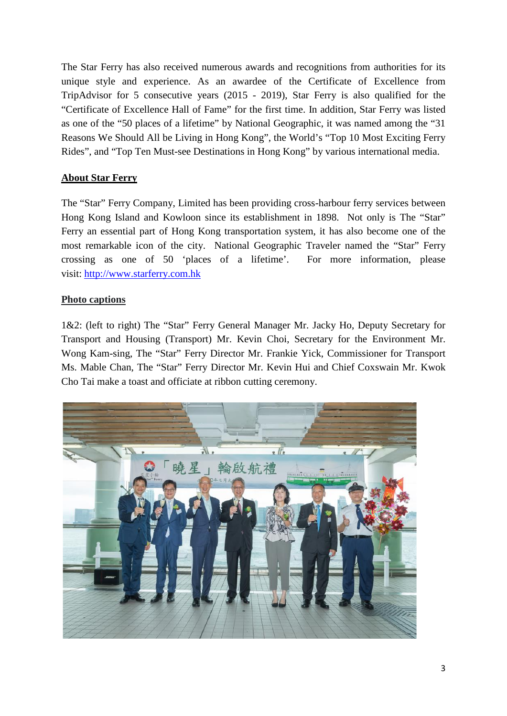The Star Ferry has also received numerous awards and recognitions from authorities for its unique style and experience. As an awardee of the Certificate of Excellence from TripAdvisor for 5 consecutive years (2015 - 2019), Star Ferry is also qualified for the "Certificate of Excellence Hall of Fame" for the first time. In addition, Star Ferry was listed as one of the "50 places of a lifetime" by National Geographic, it was named among the "31 Reasons We Should All be Living in Hong Kong", the World's "Top 10 Most Exciting Ferry Rides", and "Top Ten Must-see Destinations in Hong Kong" by various international media.

### **About Star Ferry**

The "Star" Ferry Company, Limited has been providing cross-harbour ferry services between Hong Kong Island and Kowloon since its establishment in 1898. Not only is The "Star" Ferry an essential part of Hong Kong transportation system, it has also become one of the most remarkable icon of the city. National Geographic Traveler named the "Star" Ferry crossing as one of 50 'places of a lifetime'. For more information, please visit: [http://www.starferry.com.hk](http://www.starferry.com.hk/en/home)

#### **Photo captions**

1&2: (left to right) The "Star" Ferry General Manager Mr. Jacky Ho, Deputy Secretary for Transport and Housing (Transport) Mr. Kevin Choi, Secretary for the Environment Mr. Wong Kam-sing, The "Star" Ferry Director Mr. Frankie Yick, Commissioner for Transport Ms. Mable Chan, The "Star" Ferry Director Mr. Kevin Hui and Chief Coxswain Mr. Kwok Cho Tai make a toast and officiate at ribbon cutting ceremony.

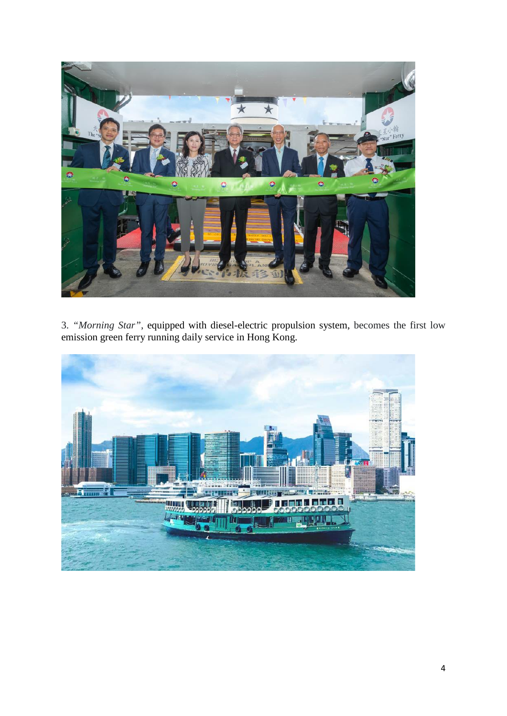

3. *"Morning Star"*, equipped with diesel-electric propulsion system, becomes the first low emission green ferry running daily service in Hong Kong.